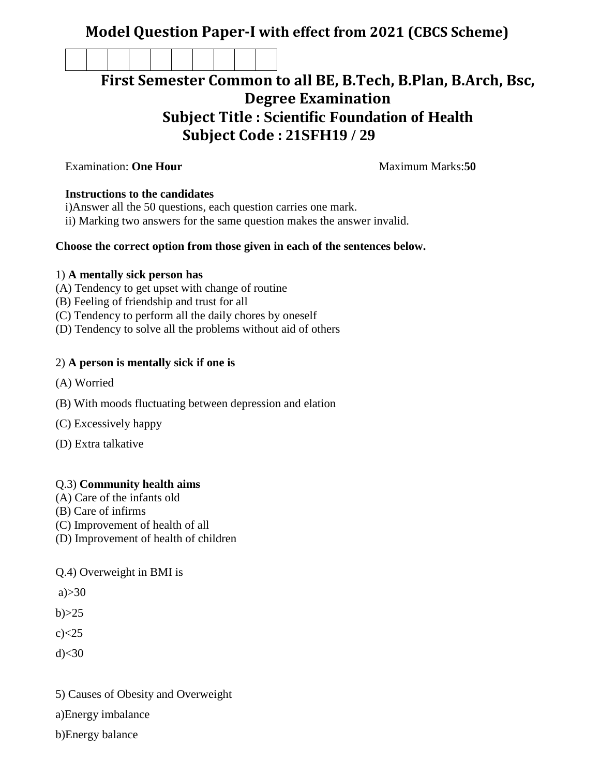## **Model Question Paper-I with effect from 2021 (CBCS Scheme)**

# **First Semester Common to all BE, B.Tech, B.Plan, B.Arch, Bsc, Degree Examination Subject Title : Scientific Foundation of Health Subject Code : 21SFH19 / 29**

**Examination: One Hour Maximum Marks:50** 

#### **Instructions to the candidates**

- i)Answer all the 50 questions, each question carries one mark.
- ii) Marking two answers for the same question makes the answer invalid.

#### **Choose the correct option from those given in each of the sentences below.**

#### 1) **A mentally sick person has**

- (A) Tendency to get upset with change of routine
- (B) Feeling of friendship and trust for all
- (C) Tendency to perform all the daily chores by oneself
- (D) Tendency to solve all the problems without aid of others

#### 2) **A person is mentally sick if one is**

- (A) Worried
- (B) With moods fluctuating between depression and elation
- (C) Excessively happy
- (D) Extra talkative

#### Q.3) **Community health aims**

- (A) Care of the infants old
- (B) Care of infirms
- (C) Improvement of health of all
- (D) Improvement of health of children

### Q.4) Overweight in BMI is

 $a) > 30$ 

 $b) > 25$ 

 $c$  $<25$ 

 $d$  $<30$ 

5) Causes of Obesity and Overweight

a)Energy imbalance

b)Energy balance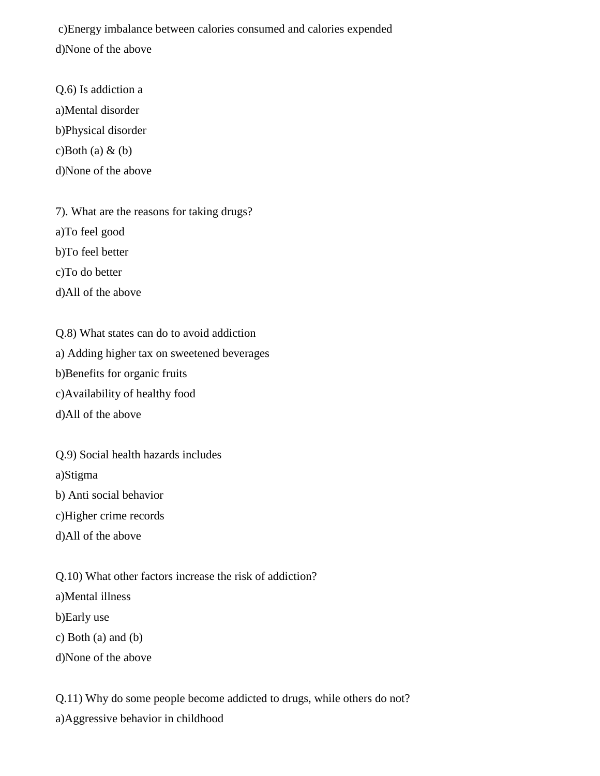c)Energy imbalance between calories consumed and calories expended d)None of the above

Q.6) Is addiction a a)Mental disorder b)Physical disorder c)Both (a)  $\&$  (b) d)None of the above

7). What are the reasons for taking drugs? a)To feel good b)To feel better c)To do better d)All of the above

Q.8) What states can do to avoid addiction a) Adding higher tax on sweetened beverages b)Benefits for organic fruits c)Availability of healthy food d)All of the above

Q.9) Social health hazards includes a)Stigma b) Anti social behavior c)Higher crime records d)All of the above

Q.10) What other factors increase the risk of addiction? a)Mental illness b)Early use c) Both (a) and (b) d)None of the above

Q.11) Why do some people become addicted to drugs, while others do not? a)Aggressive behavior in childhood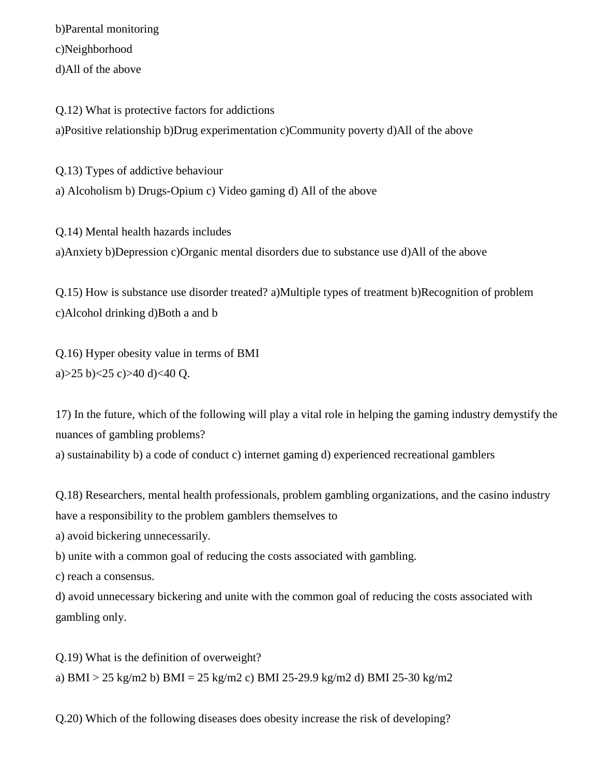b)Parental monitoring c)Neighborhood d)All of the above

Q.12) What is protective factors for addictions a)Positive relationship b)Drug experimentation c)Community poverty d)All of the above

Q.13) Types of addictive behaviour a) Alcoholism b) Drugs-Opium c) Video gaming d) All of the above

Q.14) Mental health hazards includes a)Anxiety b)Depression c)Organic mental disorders due to substance use d)All of the above

Q.15) How is substance use disorder treated? a)Multiple types of treatment b)Recognition of problem c)Alcohol drinking d)Both a and b

Q.16) Hyper obesity value in terms of BMI a) $>25$  b) $<25$  c) $>40$  d) $<40$  Q.

17) In the future, which of the following will play a vital role in helping the gaming industry demystify the nuances of gambling problems?

a) sustainability b) a code of conduct c) internet gaming d) experienced recreational gamblers

Q.18) Researchers, mental health professionals, problem gambling organizations, and the casino industry have a responsibility to the problem gamblers themselves to

a) avoid bickering unnecessarily.

b) unite with a common goal of reducing the costs associated with gambling.

c) reach a consensus.

d) avoid unnecessary bickering and unite with the common goal of reducing the costs associated with gambling only.

Q.19) What is the definition of overweight? a) BMI > 25 kg/m2 b) BMI = 25 kg/m2 c) BMI 25-29.9 kg/m2 d) BMI 25-30 kg/m2

Q.20) Which of the following diseases does obesity increase the risk of developing?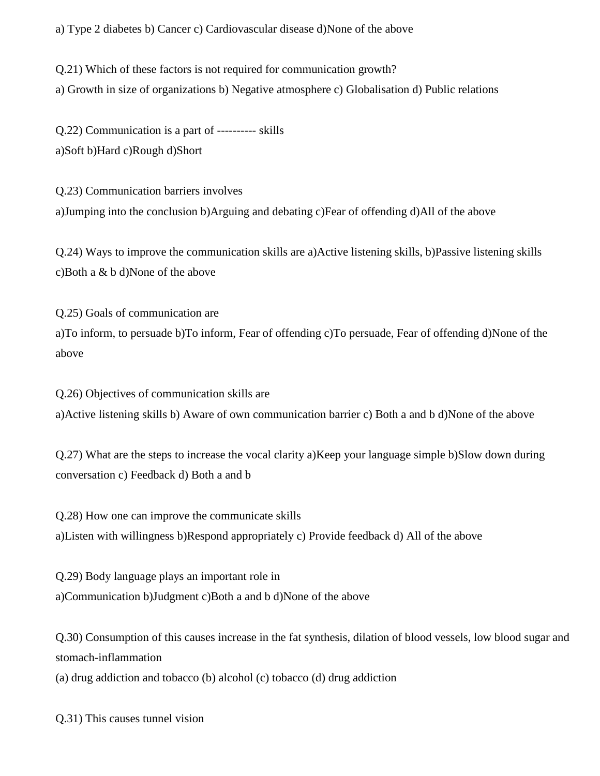a) Type 2 diabetes b) Cancer c) Cardiovascular disease d)None of the above

Q.21) Which of these factors is not required for communication growth? a) Growth in size of organizations b) Negative atmosphere c) Globalisation d) Public relations

Q.22) Communication is a part of ---------- skills a)Soft b)Hard c)Rough d)Short

Q.23) Communication barriers involves a)Jumping into the conclusion b)Arguing and debating c)Fear of offending d)All of the above

Q.24) Ways to improve the communication skills are a)Active listening skills, b)Passive listening skills c)Both a & b d)None of the above

Q.25) Goals of communication are a)To inform, to persuade b)To inform, Fear of offending c)To persuade, Fear of offending d)None of the above

Q.26) Objectives of communication skills are a)Active listening skills b) Aware of own communication barrier c) Both a and b d)None of the above

Q.27) What are the steps to increase the vocal clarity a)Keep your language simple b)Slow down during conversation c) Feedback d) Both a and b

Q.28) How one can improve the communicate skills a)Listen with willingness b)Respond appropriately c) Provide feedback d) All of the above

Q.29) Body language plays an important role in a)Communication b)Judgment c)Both a and b d)None of the above

Q.30) Consumption of this causes increase in the fat synthesis, dilation of blood vessels, low blood sugar and stomach-inflammation

(a) drug addiction and tobacco (b) alcohol (c) tobacco (d) drug addiction

Q.31) This causes tunnel vision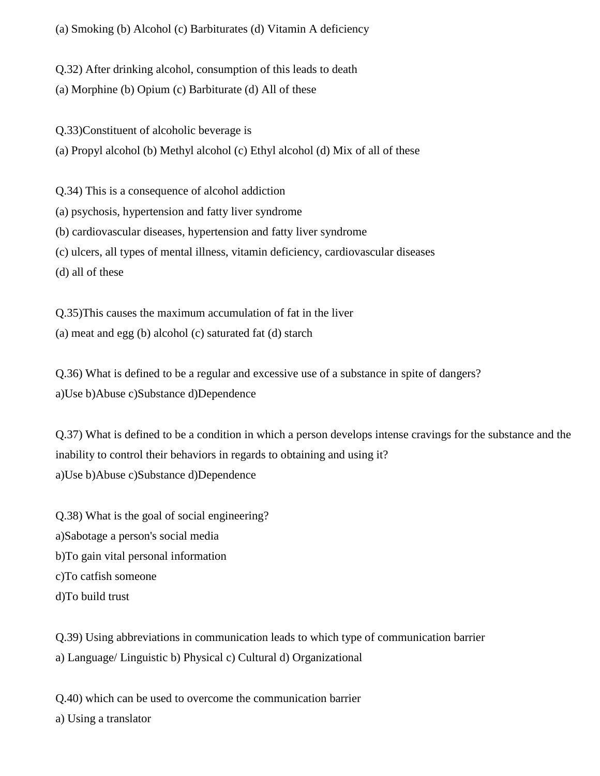(a) Smoking (b) Alcohol (c) Barbiturates (d) Vitamin A deficiency

Q.32) After drinking alcohol, consumption of this leads to death

(a) Morphine (b) Opium (c) Barbiturate (d) All of these

Q.33)Constituent of alcoholic beverage is

(a) Propyl alcohol (b) Methyl alcohol (c) Ethyl alcohol (d) Mix of all of these

Q.34) This is a consequence of alcohol addiction

(a) psychosis, hypertension and fatty liver syndrome

(b) cardiovascular diseases, hypertension and fatty liver syndrome

(c) ulcers, all types of mental illness, vitamin deficiency, cardiovascular diseases

(d) all of these

Q.35)This causes the maximum accumulation of fat in the liver

(a) meat and egg (b) alcohol (c) saturated fat (d) starch

Q.36) What is defined to be a regular and excessive use of a substance in spite of dangers? a)Use b)Abuse c)Substance d)Dependence

Q.37) What is defined to be a condition in which a person develops intense cravings for the substance and the inability to control their behaviors in regards to obtaining and using it? a)Use b)Abuse c)Substance d)Dependence

Q.38) What is the goal of social engineering? a)Sabotage a person's social media b)To gain vital personal information c)To catfish someone d)To build trust

Q.39) Using abbreviations in communication leads to which type of communication barrier a) Language/ Linguistic b) Physical c) Cultural d) Organizational

Q.40) which can be used to overcome the communication barrier a) Using a translator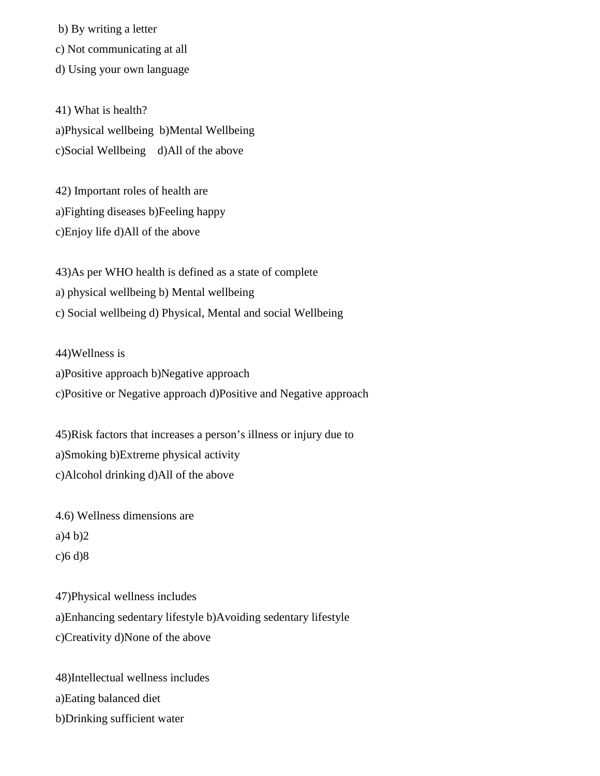b) By writing a letter

c) Not communicating at all

d) Using your own language

41) What is health? a)Physical wellbeing b)Mental Wellbeing c)Social Wellbeing d)All of the above

42) Important roles of health are a)Fighting diseases b)Feeling happy c)Enjoy life d)All of the above

43)As per WHO health is defined as a state of complete a) physical wellbeing b) Mental wellbeing c) Social wellbeing d) Physical, Mental and social Wellbeing

44)Wellness is a)Positive approach b)Negative approach c)Positive or Negative approach d)Positive and Negative approach

45)Risk factors that increases a person's illness or injury due to a)Smoking b)Extreme physical activity c)Alcohol drinking d)All of the above

4.6) Wellness dimensions are a)4 b)2 c)6 d)8

47)Physical wellness includes a)Enhancing sedentary lifestyle b)Avoiding sedentary lifestyle c)Creativity d)None of the above

48)Intellectual wellness includes a)Eating balanced diet b)Drinking sufficient water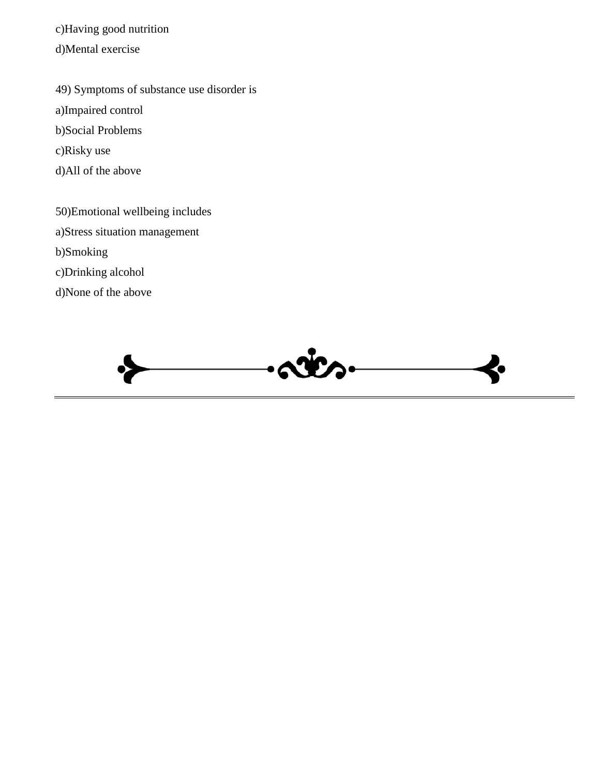c)Having good nutrition d)Mental exercise

49) Symptoms of substance use disorder is a)Impaired control b)Social Problems c)Risky use

d)All of the above

50)Emotional wellbeing includes a)Stress situation management b)Smoking c)Drinking alcohol d)None of the above

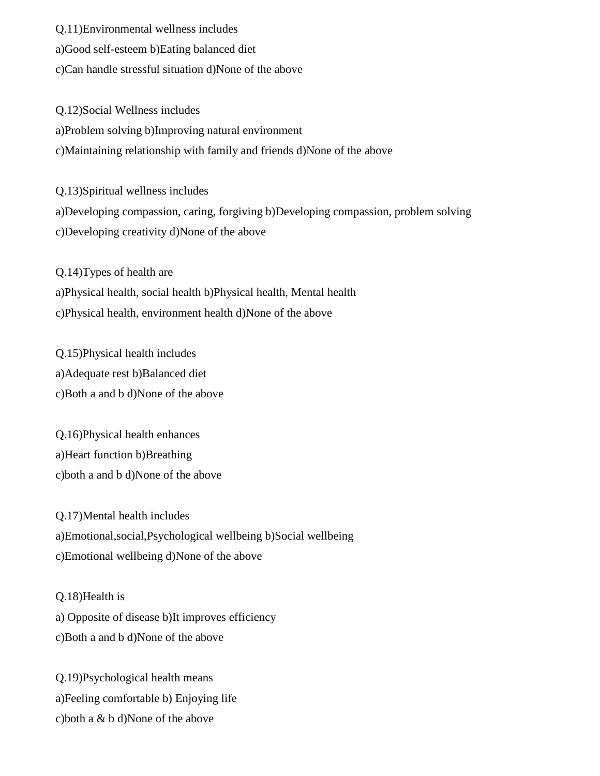Q.11)Environmental wellness includes

a)Good self-esteem b)Eating balanced diet

c)Can handle stressful situation d)None of the above

Q.12)Social Wellness includes a)Problem solving b)Improving natural environment c)Maintaining relationship with family and friends d)None of the above

Q.13)Spiritual wellness includes a)Developing compassion, caring, forgiving b)Developing compassion, problem solving c)Developing creativity d)None of the above

Q.14)Types of health are a)Physical health, social health b)Physical health, Mental health c)Physical health, environment health d)None of the above

Q.15)Physical health includes a)Adequate rest b)Balanced diet c)Both a and b d)None of the above

Q.16)Physical health enhances a)Heart function b)Breathing c)both a and b d)None of the above

Q.17)Mental health includes a)Emotional,social,Psychological wellbeing b)Social wellbeing c)Emotional wellbeing d)None of the above

Q.18)Health is a) Opposite of disease b)It improves efficiency c)Both a and b d)None of the above

Q.19)Psychological health means a)Feeling comfortable b) Enjoying life c)both a & b d)None of the above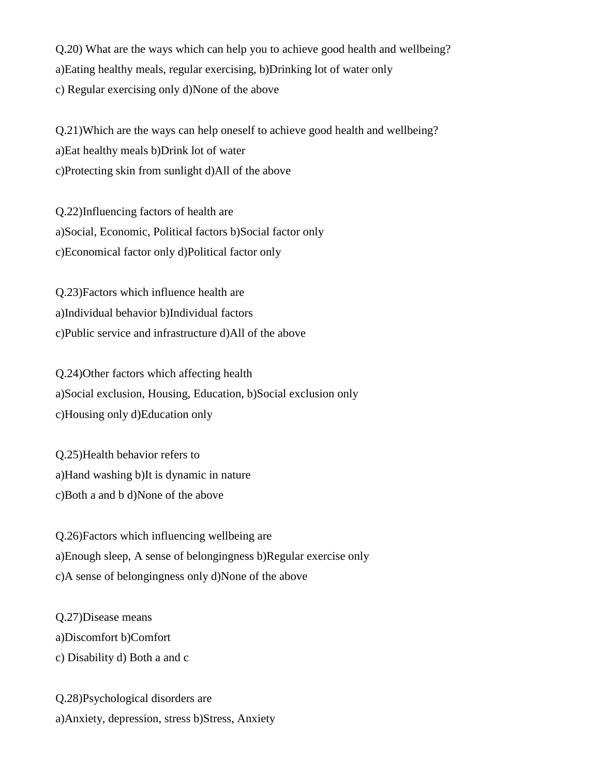Q.20) What are the ways which can help you to achieve good health and wellbeing? a)Eating healthy meals, regular exercising, b)Drinking lot of water only c) Regular exercising only d)None of the above

Q.21)Which are the ways can help oneself to achieve good health and wellbeing? a)Eat healthy meals b)Drink lot of water c)Protecting skin from sunlight d)All of the above

Q.22)Influencing factors of health are a)Social, Economic, Political factors b)Social factor only c)Economical factor only d)Political factor only

Q.23)Factors which influence health are a)Individual behavior b)Individual factors c)Public service and infrastructure d)All of the above

Q.24)Other factors which affecting health a)Social exclusion, Housing, Education, b)Social exclusion only c)Housing only d)Education only

Q.25)Health behavior refers to a)Hand washing b)It is dynamic in nature c)Both a and b d)None of the above

Q.26)Factors which influencing wellbeing are a)Enough sleep, A sense of belongingness b)Regular exercise only c)A sense of belongingness only d)None of the above

Q.27)Disease means a)Discomfort b)Comfort c) Disability d) Both a and c

Q.28)Psychological disorders are a)Anxiety, depression, stress b)Stress, Anxiety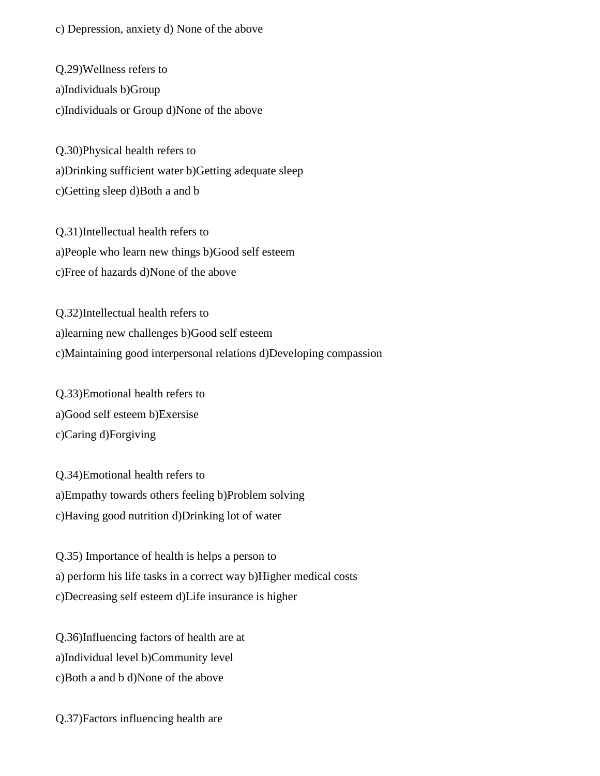c) Depression, anxiety d) None of the above

Q.29)Wellness refers to a)Individuals b)Group c)Individuals or Group d)None of the above

Q.30)Physical health refers to a)Drinking sufficient water b)Getting adequate sleep c)Getting sleep d)Both a and b

Q.31)Intellectual health refers to a)People who learn new things b)Good self esteem c)Free of hazards d)None of the above

Q.32)Intellectual health refers to a)learning new challenges b)Good self esteem c)Maintaining good interpersonal relations d)Developing compassion

Q.33)Emotional health refers to a)Good self esteem b)Exersise c)Caring d)Forgiving

Q.34)Emotional health refers to a)Empathy towards others feeling b)Problem solving c)Having good nutrition d)Drinking lot of water

Q.35) Importance of health is helps a person to a) perform his life tasks in a correct way b)Higher medical costs c)Decreasing self esteem d)Life insurance is higher

Q.36)Influencing factors of health are at a)Individual level b)Community level c)Both a and b d)None of the above

Q.37)Factors influencing health are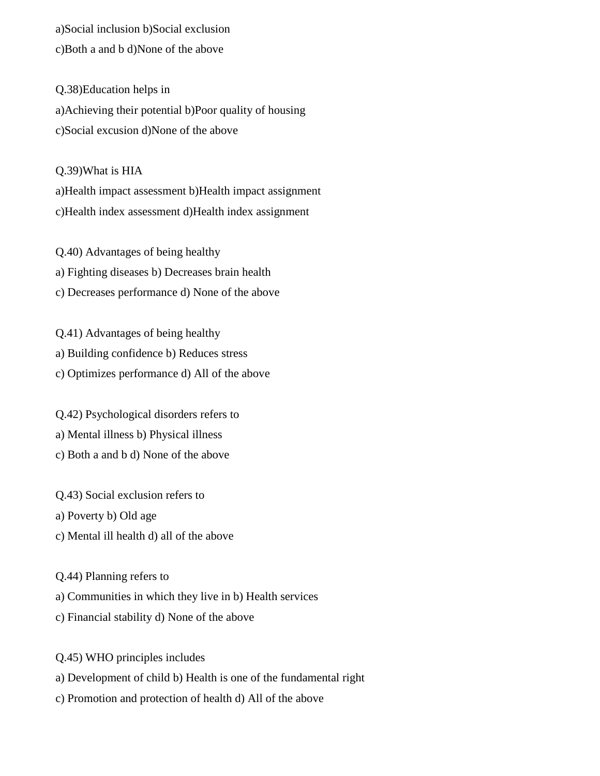a)Social inclusion b)Social exclusion c)Both a and b d)None of the above

Q.38)Education helps in a)Achieving their potential b)Poor quality of housing c)Social excusion d)None of the above

Q.39)What is HIA a)Health impact assessment b)Health impact assignment c)Health index assessment d)Health index assignment

Q.40) Advantages of being healthy a) Fighting diseases b) Decreases brain health c) Decreases performance d) None of the above

Q.41) Advantages of being healthy a) Building confidence b) Reduces stress c) Optimizes performance d) All of the above

Q.42) Psychological disorders refers to a) Mental illness b) Physical illness c) Both a and b d) None of the above

Q.43) Social exclusion refers to

a) Poverty b) Old age

c) Mental ill health d) all of the above

Q.44) Planning refers to

a) Communities in which they live in b) Health services

c) Financial stability d) None of the above

Q.45) WHO principles includes

a) Development of child b) Health is one of the fundamental right

c) Promotion and protection of health d) All of the above